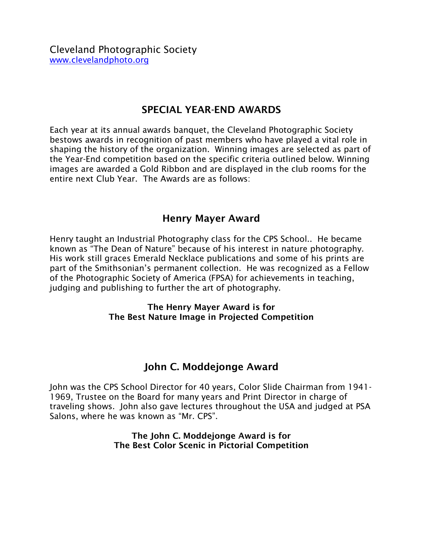## **SPECIAL YEAR-END AWARDS**

Each year at its annual awards banquet, the Cleveland Photographic Society bestows awards in recognition of past members who have played a vital role in shaping the history of the organization. Winning images are selected as part of the Year-End competition based on the specific criteria outlined below. Winning images are awarded a Gold Ribbon and are displayed in the club rooms for the entire next Club Year. The Awards are as follows:

### **Henry Mayer Award**

Henry taught an Industrial Photography class for the CPS School.. He became known as "The Dean of Nature" because of his interest in nature photography. His work still graces Emerald Necklace publications and some of his prints are part of the Smithsonian's permanent collection. He was recognized as a Fellow of the Photographic Society of America (FPSA) for achievements in teaching, judging and publishing to further the art of photography.

### **The Henry Mayer Award is for The Best Nature Image in Projected Competition**

## **John C. Moddejonge Award**

John was the CPS School Director for 40 years, Color Slide Chairman from 1941- 1969, Trustee on the Board for many years and Print Director in charge of traveling shows. John also gave lectures throughout the USA and judged at PSA Salons, where he was known as "Mr. CPS".

#### **The John C. Moddejonge Award is for The Best Color Scenic in Pictorial Competition**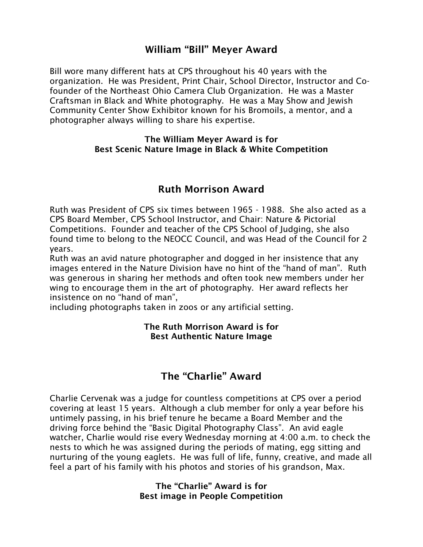### **William "Bill" Meyer Award**

Bill wore many different hats at CPS throughout his 40 years with the organization. He was President, Print Chair, School Director, Instructor and Cofounder of the Northeast Ohio Camera Club Organization. He was a Master Craftsman in Black and White photography. He was a May Show and Jewish Community Center Show Exhibitor known for his Bromoils, a mentor, and a photographer always willing to share his expertise.

#### **The William Meyer Award is for Best Scenic Nature Image in Black & White Competition**

### **Ruth Morrison Award**

Ruth was President of CPS six times between 1965 - 1988. She also acted as a CPS Board Member, CPS School Instructor, and Chair: Nature & Pictorial Competitions. Founder and teacher of the CPS School of Judging, she also found time to belong to the NEOCC Council, and was Head of the Council for 2 years.

Ruth was an avid nature photographer and dogged in her insistence that any images entered in the Nature Division have no hint of the "hand of man". Ruth was generous in sharing her methods and often took new members under her wing to encourage them in the art of photography. Her award reflects her insistence on no "hand of man",

including photographs taken in zoos or any artificial setting.

#### **The Ruth Morrison Award is for Best Authentic Nature Image**

### **The "Charlie" Award**

Charlie Cervenak was a judge for countless competitions at CPS over a period covering at least 15 years. Although a club member for only a year before his untimely passing, in his brief tenure he became a Board Member and the driving force behind the "Basic Digital Photography Class". An avid eagle watcher, Charlie would rise every Wednesday morning at 4:00 a.m. to check the nests to which he was assigned during the periods of mating, egg sitting and nurturing of the young eaglets. He was full of life, funny, creative, and made all feel a part of his family with his photos and stories of his grandson, Max.

> **The "Charlie" Award is for Best image in People Competition**